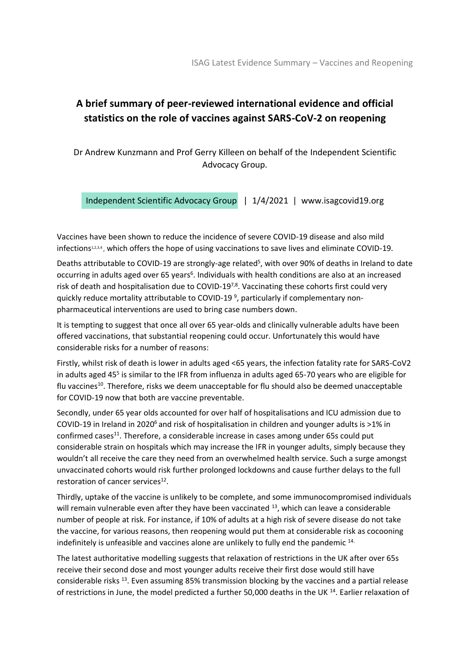## **A brief summary of peer-reviewed international evidence and official statistics on the role of vaccines against SARS-CoV-2 on reopening**

Dr Andrew Kunzmann and Prof Gerry Killeen on behalf of the Independent Scientific Advocacy Group.

Independent Scientific Advocacy Group | 1/4/2021 | www.isagcovid19.org

Vaccines have been shown to reduce the incidence of severe COVID-19 disease and also mild infections<sup>1,2,3,4</sup>, which offers the hope of using vaccinations to save lives and eliminate COVID-19.

Deaths attributable to COVID-19 are strongly-age related<sup>5</sup>, with over 90% of deaths in Ireland to date occurring in adults aged over 65 years<sup>6</sup>. Individuals with health conditions are also at an increased risk of death and hospitalisation due to COVID-197,8. Vaccinating these cohorts first could very quickly reduce mortality attributable to COVID-19<sup>9</sup>, particularly if complementary nonpharmaceutical interventions are used to bring case numbers down.

It is tempting to suggest that once all over 65 year-olds and clinically vulnerable adults have been offered vaccinations, that substantial reopening could occur. Unfortunately this would have considerable risks for a number of reasons:

Firstly, whilst risk of death is lower in adults aged <65 years, the infection fatality rate for SARS-CoV2 in adults aged 45<sup>5</sup> is similar to the IFR from influenza in adults aged 65-70 years who are eligible for flu vaccines<sup>10</sup>. Therefore, risks we deem unacceptable for flu should also be deemed unacceptable for COVID-19 now that both are vaccine preventable.

Secondly, under 65 year olds accounted for over half of hospitalisations and ICU admission due to COVID-19 in Ireland in 2020<sup>6</sup> and risk of hospitalisation in children and younger adults is >1% in confirmed cases<sup>11</sup>. Therefore, a considerable increase in cases among under 65s could put considerable strain on hospitals which may increase the IFR in younger adults, simply because they wouldn't all receive the care they need from an overwhelmed health service. Such a surge amongst unvaccinated cohorts would risk further prolonged lockdowns and cause further delays to the full restoration of cancer services<sup>12</sup>.

Thirdly, uptake of the vaccine is unlikely to be complete, and some immunocompromised individuals will remain vulnerable even after they have been vaccinated <sup>13</sup>, which can leave a considerable number of people at risk. For instance, if 10% of adults at a high risk of severe disease do not take the vaccine, for various reasons, then reopening would put them at considerable risk as cocooning indefinitely is unfeasible and vaccines alone are unlikely to fully end the pandemic 14.

The latest authoritative modelling suggests that relaxation of restrictions in the UK after over 65s receive their second dose and most younger adults receive their first dose would still have considerable risks <sup>13</sup>. Even assuming 85% transmission blocking by the vaccines and a partial release of restrictions in June, the model predicted a further 50,000 deaths in the UK<sup>14</sup>. Earlier relaxation of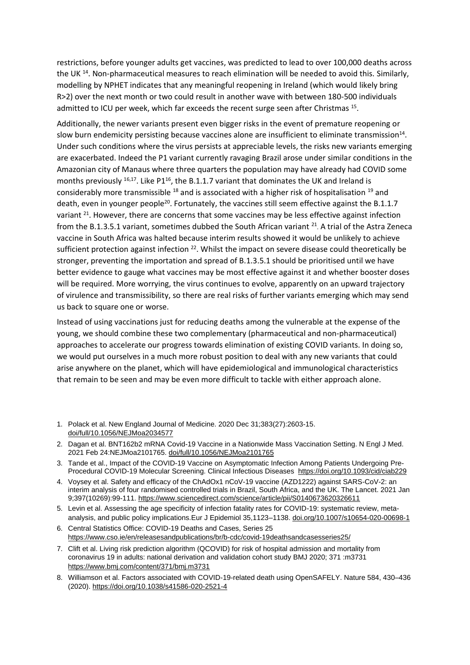restrictions, before younger adults get vaccines, was predicted to lead to over 100,000 deaths across the UK<sup>14</sup>. Non-pharmaceutical measures to reach elimination will be needed to avoid this. Similarly, modelling by NPHET indicates that any meaningful reopening in Ireland (which would likely bring R>2) over the next month or two could result in another wave with between 180-500 individuals admitted to ICU per week, which far exceeds the recent surge seen after Christmas 15.

Additionally, the newer variants present even bigger risks in the event of premature reopening or slow burn endemicity persisting because vaccines alone are insufficient to eliminate transmission<sup>14</sup>. Under such conditions where the virus persists at appreciable levels, the risks new variants emerging are exacerbated. Indeed the P1 variant currently ravaging Brazil arose under similar conditions in the Amazonian city of Manaus where three quarters the population may have already had COVID some months previously  $16,17$ . Like P1<sup>16</sup>, the B.1.1.7 variant that dominates the UK and Ireland is considerably more transmissible <sup>18</sup> and is associated with a higher risk of hospitalisation <sup>19</sup> and death, even in younger people<sup>20</sup>. Fortunately, the vaccines still seem effective against the B.1.1.7 variant <sup>21</sup>. However, there are concerns that some vaccines may be less effective against infection from the B.1.3.5.1 variant, sometimes dubbed the South African variant  $^{21}$ . A trial of the Astra Zeneca vaccine in South Africa was halted because interim results showed it would be unlikely to achieve sufficient protection against infection <sup>22</sup>. Whilst the impact on severe disease could theoretically be stronger, preventing the importation and spread of B.1.3.5.1 should be prioritised until we have better evidence to gauge what vaccines may be most effective against it and whether booster doses will be required. More worrying, the virus continues to evolve, apparently on an upward trajectory of virulence and transmissibility, so there are real risks of further variants emerging which may send us back to square one or worse.

Instead of using vaccinations just for reducing deaths among the vulnerable at the expense of the young, we should combine these two complementary (pharmaceutical and non-pharmaceutical) approaches to accelerate our progress towards elimination of existing COVID variants. In doing so, we would put ourselves in a much more robust position to deal with any new variants that could arise anywhere on the planet, which will have epidemiological and immunological characteristics that remain to be seen and may be even more difficult to tackle with either approach alone.

- 1. Polack et al. New England Journal of Medicine. 2020 Dec 31;383(27):2603-15. [doi/full/10.1056/NEJMoa2034577](https://www.nejm.org/doi/full/10.1056/NEJMoa2034577)
- 2. Dagan et al. BNT162b2 mRNA Covid-19 Vaccine in a Nationwide Mass Vaccination Setting. N Engl J Med. 2021 Feb 24:NEJMoa2101765. [doi/full/10.1056/NEJMoa2101765](https://www.nejm.org/doi/full/10.1056/NEJMoa2101765)
- 3. Tande et al., Impact of the COVID-19 Vaccine on Asymptomatic Infection Among Patients Undergoing Pre-Procedural COVID-19 Molecular Screening. Clinical Infectious Diseases <https://doi.org/10.1093/cid/ciab229>
- 4. Voysey et al. Safety and efficacy of the ChAdOx1 nCoV-19 vaccine (AZD1222) against SARS-CoV-2: an interim analysis of four randomised controlled trials in Brazil, South Africa, and the UK. The Lancet. 2021 Jan 9;397(10269):99-111.<https://www.sciencedirect.com/science/article/pii/S0140673620326611>
- 5. Levin et al. Assessing the age specificity of infection fatality rates for COVID-19: systematic review, metaanalysis, and public policy implications.Eur J Epidemiol 35,1123–1138[. doi.org/10.1007/s10654-020-00698-1](https://doi.org/10.1007/s10654-020-00698-1)
- 6. Central Statistics Office: COVID-19 Deaths and Cases, Series 25 <https://www.cso.ie/en/releasesandpublications/br/b-cdc/covid-19deathsandcasesseries25/>
- 7. Clift et al. Living risk prediction algorithm (QCOVID) for risk of hospital admission and mortality from coronavirus 19 in adults: national derivation and validation cohort study BMJ 2020; 371 :m3731 <https://www.bmj.com/content/371/bmj.m3731>
- 8. Williamson et al. Factors associated with COVID-19-related death using OpenSAFELY. Nature 584, 430–436 (2020).<https://doi.org/10.1038/s41586-020-2521-4>